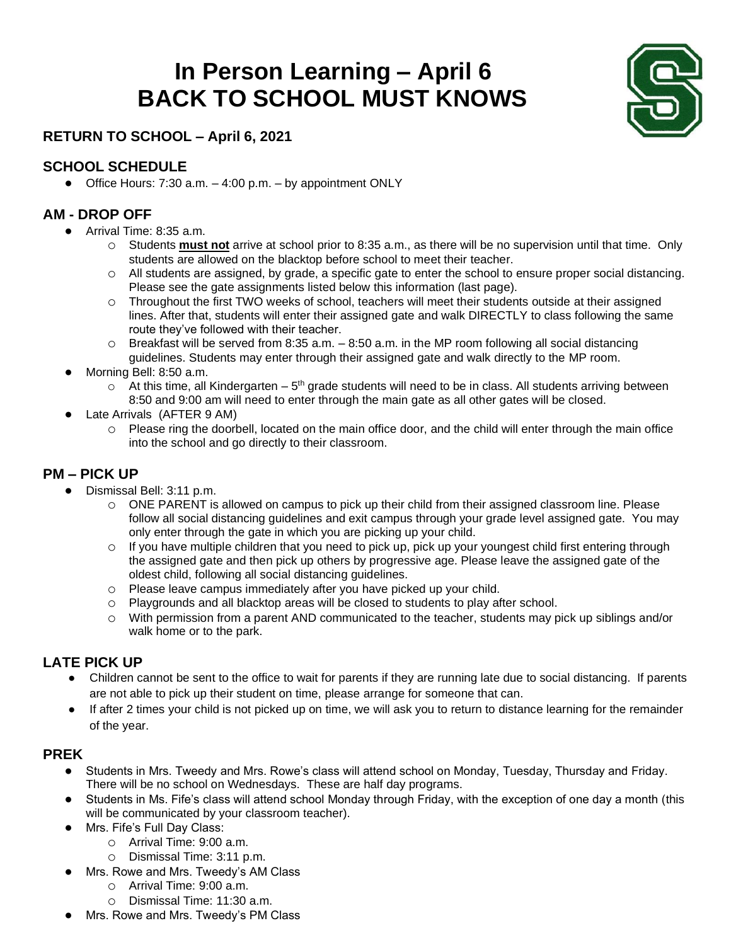## **In Person Learning – April 6 BACK TO SCHOOL MUST KNOWS**



#### **RETURN TO SCHOOL – April 6, 2021**

#### **SCHOOL SCHEDULE**

• Office Hours:  $7:30$  a.m.  $-4:00$  p.m.  $-$  by appointment ONLY

#### **AM - DROP OFF**

- Arrival Time: 8:35 a.m.
	- o Students **must not** arrive at school prior to 8:35 a.m., as there will be no supervision until that time. Only students are allowed on the blacktop before school to meet their teacher.
	- o All students are assigned, by grade, a specific gate to enter the school to ensure proper social distancing. Please see the gate assignments listed below this information (last page).
	- o Throughout the first TWO weeks of school, teachers will meet their students outside at their assigned lines. After that, students will enter their assigned gate and walk DIRECTLY to class following the same route they've followed with their teacher.
	- $\circ$  Breakfast will be served from 8:35 a.m.  $-8:50$  a.m. in the MP room following all social distancing guidelines. Students may enter through their assigned gate and walk directly to the MP room.
- Morning Bell: 8:50 a.m.
	- $\circ$  At this time, all Kindergarten  $5<sup>th</sup>$  grade students will need to be in class. All students arriving between 8:50 and 9:00 am will need to enter through the main gate as all other gates will be closed.
- Late Arrivals (AFTER 9 AM)
	- o Please ring the doorbell, located on the main office door, and the child will enter through the main office into the school and go directly to their classroom.

#### **PM – PICK UP**

- Dismissal Bell: 3:11 p.m.
	- o ONE PARENT is allowed on campus to pick up their child from their assigned classroom line. Please follow all social distancing guidelines and exit campus through your grade level assigned gate. You may only enter through the gate in which you are picking up your child.
	- $\circ$  If you have multiple children that you need to pick up, pick up your youngest child first entering through the assigned gate and then pick up others by progressive age. Please leave the assigned gate of the oldest child, following all social distancing guidelines.
	- o Please leave campus immediately after you have picked up your child.
	- o Playgrounds and all blacktop areas will be closed to students to play after school.
	- o With permission from a parent AND communicated to the teacher, students may pick up siblings and/or walk home or to the park.

#### **LATE PICK UP**

- Children cannot be sent to the office to wait for parents if they are running late due to social distancing. If parents are not able to pick up their student on time, please arrange for someone that can.
- If after 2 times your child is not picked up on time, we will ask you to return to distance learning for the remainder of the year.

#### **PREK**

- Students in Mrs. Tweedy and Mrs. Rowe's class will attend school on Monday, Tuesday, Thursday and Friday. There will be no school on Wednesdays. These are half day programs.
- Students in Ms. Fife's class will attend school Monday through Friday, with the exception of one day a month (this will be communicated by your classroom teacher).
- Mrs. Fife's Full Day Class:
	- o Arrival Time: 9:00 a.m.
	- o Dismissal Time: 3:11 p.m.
- Mrs. Rowe and Mrs. Tweedy's AM Class
	- o Arrival Time: 9:00 a.m.
	- o Dismissal Time: 11:30 a.m.
- Mrs. Rowe and Mrs. Tweedy's PM Class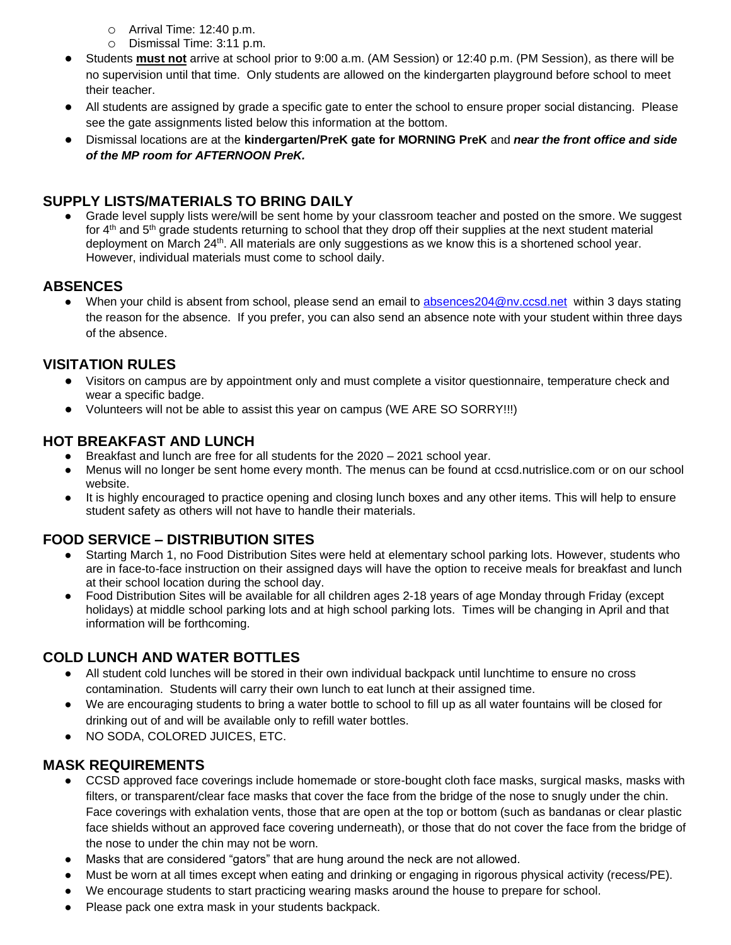- o Arrival Time: 12:40 p.m.
- o Dismissal Time: 3:11 p.m.
- Students **must not** arrive at school prior to 9:00 a.m. (AM Session) or 12:40 p.m. (PM Session), as there will be no supervision until that time. Only students are allowed on the kindergarten playground before school to meet their teacher.
- All students are assigned by grade a specific gate to enter the school to ensure proper social distancing. Please see the gate assignments listed below this information at the bottom.
- Dismissal locations are at the **kindergarten/PreK gate for MORNING PreK** and *near the front office and side of the MP room for AFTERNOON PreK.*

#### **SUPPLY LISTS/MATERIALS TO BRING DAILY**

Grade level supply lists were/will be sent home by your classroom teacher and posted on the smore. We suggest for 4<sup>th</sup> and 5<sup>th</sup> grade students returning to school that they drop off their supplies at the next student material deployment on March 24<sup>th</sup>. All materials are only suggestions as we know this is a shortened school year. However, individual materials must come to school daily.

#### **ABSENCES**

● When your child is absent from school, please send an email to [absences204@nv.ccsd.net](mailto:absences204@nv.ccsd.net) within 3 days stating the reason for the absence. If you prefer, you can also send an absence note with your student within three days of the absence.

#### **VISITATION RULES**

- Visitors on campus are by appointment only and must complete a visitor questionnaire, temperature check and wear a specific badge.
- Volunteers will not be able to assist this year on campus (WE ARE SO SORRY!!!)

#### **HOT BREAKFAST AND LUNCH**

- Breakfast and lunch are free for all students for the 2020 2021 school year.
- Menus will no longer be sent home every month. The menus can be found at ccsd.nutrislice.com or on our school website.
- It is highly encouraged to practice opening and closing lunch boxes and any other items. This will help to ensure student safety as others will not have to handle their materials.

#### **FOOD SERVICE – DISTRIBUTION SITES**

- Starting March 1, no Food Distribution Sites were held at elementary school parking lots. However, students who are in face-to-face instruction on their assigned days will have the option to receive meals for breakfast and lunch at their school location during the school day.
- Food Distribution Sites will be available for all children ages 2-18 years of age Monday through Friday (except holidays) at middle school parking lots and at high school parking lots. Times will be changing in April and that information will be forthcoming.

#### **COLD LUNCH AND WATER BOTTLES**

- All student cold lunches will be stored in their own individual backpack until lunchtime to ensure no cross contamination. Students will carry their own lunch to eat lunch at their assigned time.
- We are encouraging students to bring a water bottle to school to fill up as all water fountains will be closed for drinking out of and will be available only to refill water bottles.
- NO SODA, COLORED JUICES, ETC.

#### **MASK REQUIREMENTS**

- CCSD approved face coverings include homemade or store-bought cloth face masks, surgical masks, masks with filters, or transparent/clear face masks that cover the face from the bridge of the nose to snugly under the chin. Face coverings with exhalation vents, those that are open at the top or bottom (such as bandanas or clear plastic face shields without an approved face covering underneath), or those that do not cover the face from the bridge of the nose to under the chin may not be worn.
- Masks that are considered "gators" that are hung around the neck are not allowed.
- Must be worn at all times except when eating and drinking or engaging in rigorous physical activity (recess/PE).
- We encourage students to start practicing wearing masks around the house to prepare for school.
- Please pack one extra mask in your students backpack.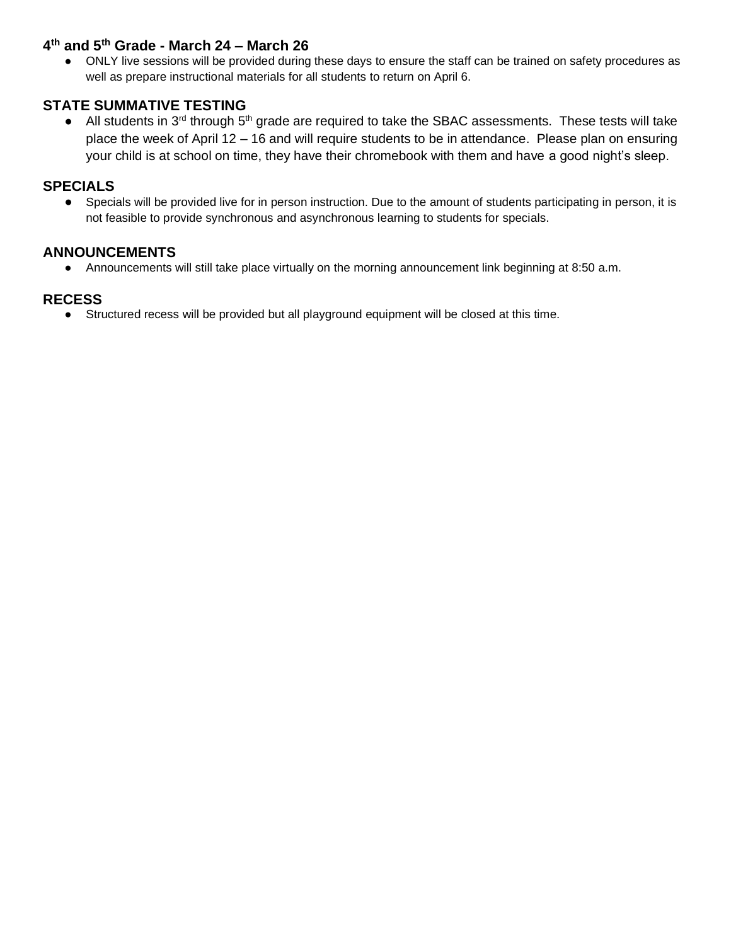#### **4 th and 5th Grade - March 24 – March 26**

ONLY live sessions will be provided during these days to ensure the staff can be trained on safety procedures as well as prepare instructional materials for all students to return on April 6.

#### **STATE SUMMATIVE TESTING**

• All students in  $3^{rd}$  through  $5^{th}$  grade are required to take the SBAC assessments. These tests will take place the week of April 12 – 16 and will require students to be in attendance. Please plan on ensuring your child is at school on time, they have their chromebook with them and have a good night's sleep.

#### **SPECIALS**

● Specials will be provided live for in person instruction. Due to the amount of students participating in person, it is not feasible to provide synchronous and asynchronous learning to students for specials.

#### **ANNOUNCEMENTS**

● Announcements will still take place virtually on the morning announcement link beginning at 8:50 a.m.

#### **RECESS**

● Structured recess will be provided but all playground equipment will be closed at this time.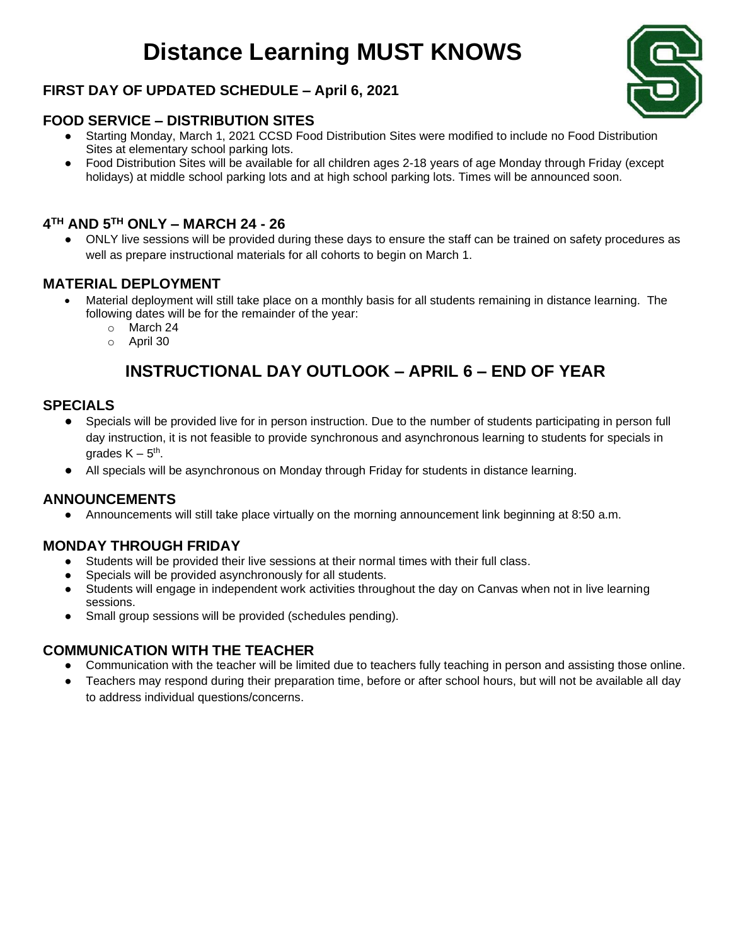## **Distance Learning MUST KNOWS**

#### **FIRST DAY OF UPDATED SCHEDULE – April 6, 2021**

#### **FOOD SERVICE – DISTRIBUTION SITES**

- Starting Monday, March 1, 2021 CCSD Food Distribution Sites were modified to include no Food Distribution Sites at elementary school parking lots.
- Food Distribution Sites will be available for all children ages 2-18 years of age Monday through Friday (except holidays) at middle school parking lots and at high school parking lots. Times will be announced soon.

#### **4 TH AND 5TH ONLY – MARCH 24 - 26**

ONLY live sessions will be provided during these days to ensure the staff can be trained on safety procedures as well as prepare instructional materials for all cohorts to begin on March 1.

#### **MATERIAL DEPLOYMENT**

- Material deployment will still take place on a monthly basis for all students remaining in distance learning. The following dates will be for the remainder of the year:
	- o March 24
	- o April 30

### **INSTRUCTIONAL DAY OUTLOOK – APRIL 6 – END OF YEAR**

#### **SPECIALS**

- Specials will be provided live for in person instruction. Due to the number of students participating in person full day instruction, it is not feasible to provide synchronous and asynchronous learning to students for specials in grades  $\mathsf{K} - 5^{\text{th}}$ .
- All specials will be asynchronous on Monday through Friday for students in distance learning.

#### **ANNOUNCEMENTS**

● Announcements will still take place virtually on the morning announcement link beginning at 8:50 a.m.

#### **MONDAY THROUGH FRIDAY**

- Students will be provided their live sessions at their normal times with their full class.
- Specials will be provided asynchronously for all students.
- Students will engage in independent work activities throughout the day on Canvas when not in live learning sessions.
- Small group sessions will be provided (schedules pending).

#### **COMMUNICATION WITH THE TEACHER**

- Communication with the teacher will be limited due to teachers fully teaching in person and assisting those online.
- Teachers may respond during their preparation time, before or after school hours, but will not be available all day to address individual questions/concerns.

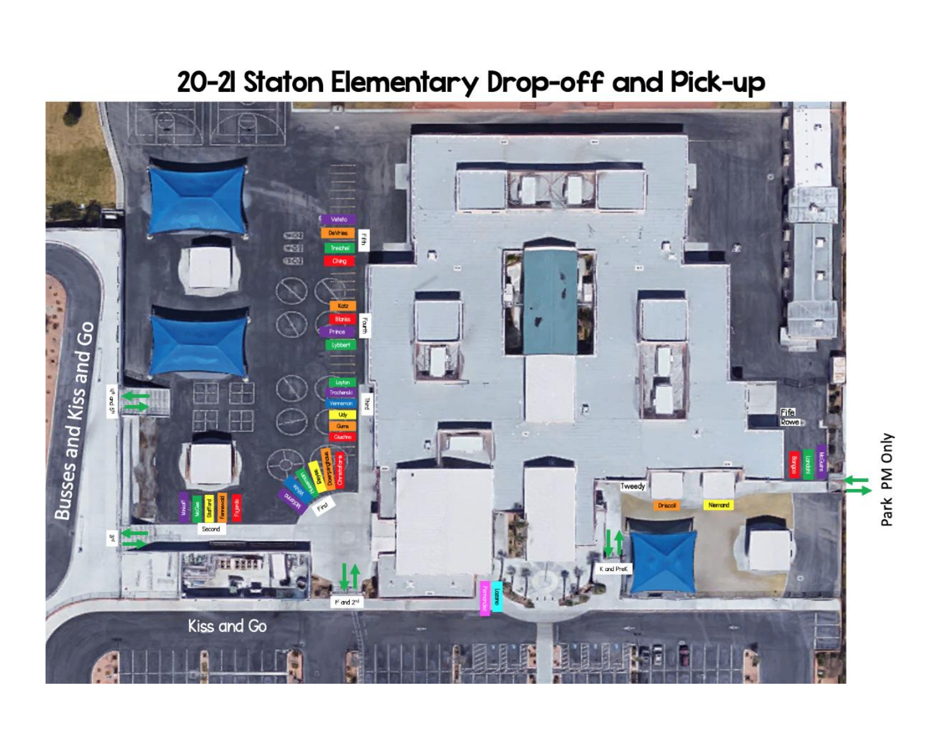

## 20-21 Staton Elementary Drop-off and Pick-up

Park PM Only